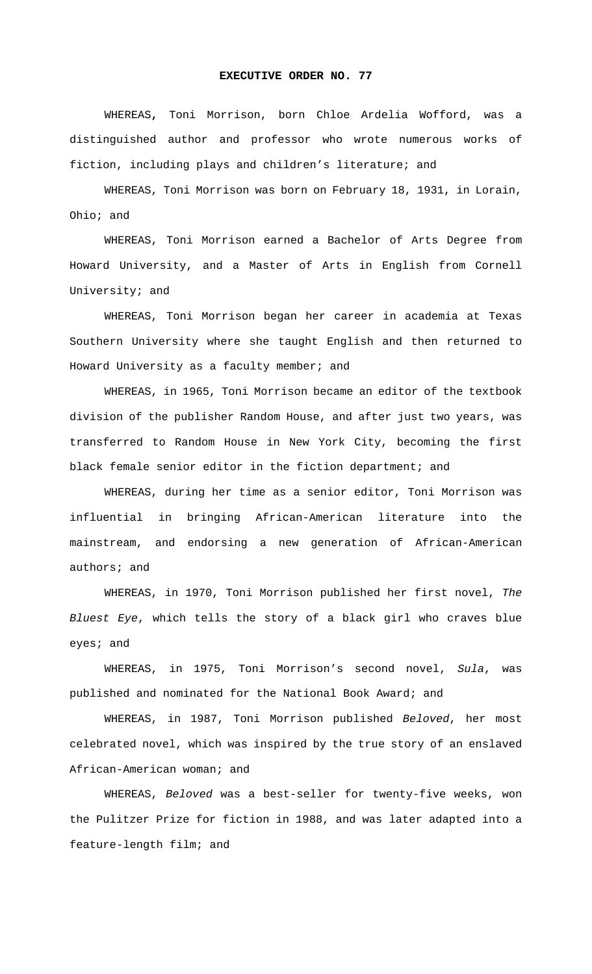## **EXECUTIVE ORDER NO. 77**

 WHEREAS**,** Toni Morrison, born Chloe Ardelia Wofford, was a distinguished author and professor who wrote numerous works of fiction, including plays and children's literature; and

WHEREAS, Toni Morrison was born on February 18, 1931, in Lorain, Ohio; and

WHEREAS, Toni Morrison earned a Bachelor of Arts Degree from Howard University, and a Master of Arts in English from Cornell University; and

WHEREAS, Toni Morrison began her career in academia at Texas Southern University where she taught English and then returned to Howard University as a faculty member; and

WHEREAS, in 1965, Toni Morrison became an editor of the textbook division of the publisher Random House, and after just two years, was transferred to Random House in New York City, becoming the first black female senior editor in the fiction department; and

WHEREAS, during her time as a senior editor, Toni Morrison was influential in bringing African-American literature into the mainstream, and endorsing a new generation of African-American authors; and

WHEREAS, in 1970, Toni Morrison published her first novel, *The Bluest Eye*, which tells the story of a black girl who craves blue eyes; and

WHEREAS, in 1975, Toni Morrison's second novel, *Sula*, was published and nominated for the National Book Award; and

WHEREAS, in 1987, Toni Morrison published *Beloved*, her most celebrated novel, which was inspired by the true story of an enslaved African-American woman; and

WHEREAS, *Beloved* was a best-seller for twenty-five weeks, won the Pulitzer Prize for fiction in 1988, and was later adapted into a feature-length film; and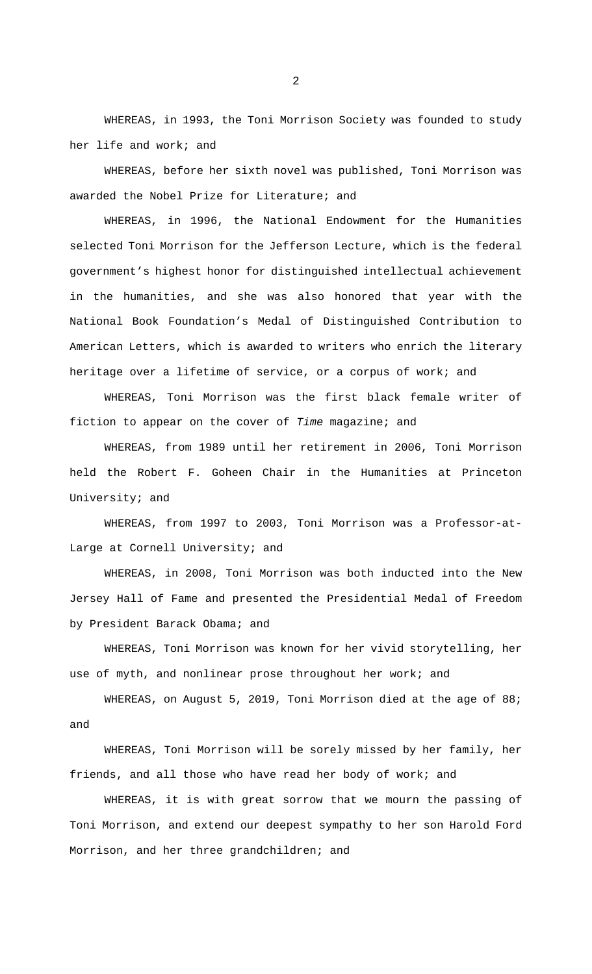WHEREAS, in 1993, the Toni Morrison Society was founded to study her life and work; and

WHEREAS, before her sixth novel was published, Toni Morrison was awarded the Nobel Prize for Literature; and

WHEREAS, in 1996, the National Endowment for the Humanities selected Toni Morrison for the Jefferson Lecture, which is the federal government's highest honor for distinguished intellectual achievement in the humanities, and she was also honored that year with the National Book Foundation's Medal of Distinguished Contribution to American Letters, which is awarded to writers who enrich the literary heritage over a lifetime of service, or a corpus of work; and

WHEREAS, Toni Morrison was the first black female writer of fiction to appear on the cover of *Time* magazine; and

WHEREAS, from 1989 until her retirement in 2006, Toni Morrison held the Robert F. Goheen Chair in the Humanities at Princeton University; and

WHEREAS, from 1997 to 2003, Toni Morrison was a Professor-at-Large at Cornell University; and

WHEREAS, in 2008, Toni Morrison was both inducted into the New Jersey Hall of Fame and presented the Presidential Medal of Freedom by President Barack Obama; and

WHEREAS, Toni Morrison was known for her vivid storytelling, her use of myth, and nonlinear prose throughout her work; and

WHEREAS, on August 5, 2019, Toni Morrison died at the age of 88; and

WHEREAS, Toni Morrison will be sorely missed by her family, her friends, and all those who have read her body of work; and

WHEREAS, it is with great sorrow that we mourn the passing of Toni Morrison, and extend our deepest sympathy to her son Harold Ford Morrison, and her three grandchildren; and

2